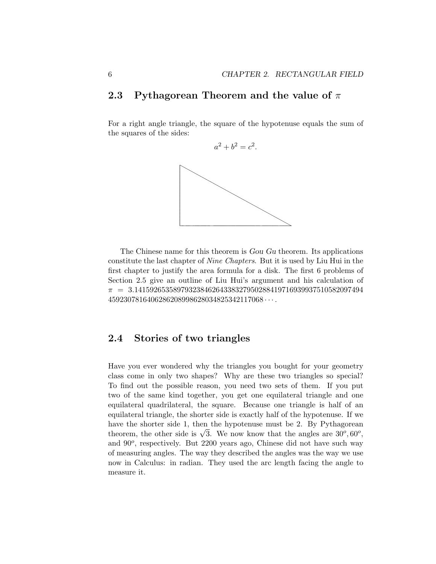## **2.3 Pythagorean Theorem and the value of** π

For a right angle triangle, the square of the hypotenuse equals the sum of the squares of the sides:

 $a^2 + b^2 = c^2$ .



The Chinese name for this theorem is Gou Gu theorem. Its applications constitute the last chapter of Nine Chapters. But it is used by Liu Hui in the first chapter to justify the area formula for a disk. The first 6 problems of Section 2.5 give an outline of Liu Hui's argument and his calculation of  $\pi$  = 3.14159265358979323846264338327950288419716939937510582097494  $4592307816406286208998628034825342117068 \cdots$ 

## **2.4 Stories of two triangles**

Have you ever wondered why the triangles you bought for your geometry class come in only two shapes? Why are these two triangles so special? To find out the possible reason, you need two sets of them. If you put two of the same kind together, you get one equilateral triangle and one equilateral quadrilateral, the square. Because one triangle is half of an equilateral triangle, the shorter side is exactly half of the hypotenuse. If we have the shorter side 1, then the hypotenuse must be 2. By Pythagorean theorem, the other side is  $\sqrt{3}$ . We now know that the angles are  $30^{\circ}, 60^{\circ}$ , and  $90^\circ$ , respectively. But 2200 years ago, Chinese did not have such way of measuring angles. The way they described the angles was the way we use now in Calculus: in radian. They used the arc length facing the angle to measure it.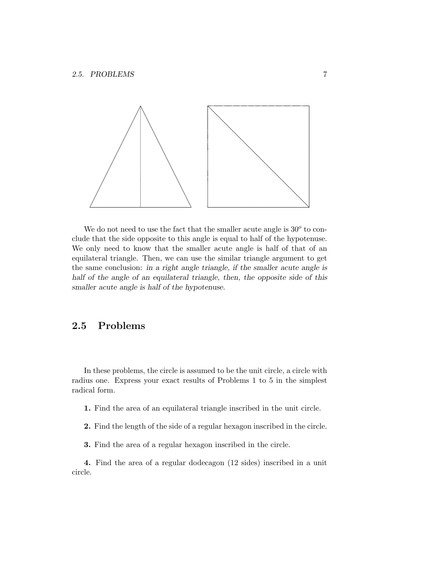

We do not need to use the fact that the smaller acute angle is  $30<sup>o</sup>$  to conclude that the side opposite to this angle is equal to half of the hypotenuse. We only need to know that the smaller acute angle is half of that of an equilateral triangle. Then, we can use the similar triangle argument to get the same conclusion: in a right angle triangle, if the smaller acute angle is half of the angle of an equilateral triangle, then, the opposite side of this smaller acute angle is half of the hypotenuse.

## **2.5 Problems**

In these problems, the circle is assumed to be the unit circle, a circle with radius one. Express your exact results of Problems 1 to 5 in the simplest radical form.

**1.** Find the area of an equilateral triangle inscribed in the unit circle.

**2.** Find the length of the side of a regular hexagon inscribed in the circle.

**3.** Find the area of a regular hexagon inscribed in the circle.

**4.** Find the area of a regular dodecagon (12 sides) inscribed in a unit circle.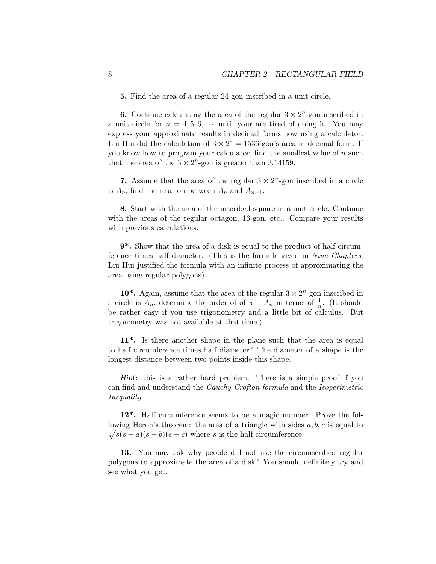**5.** Find the area of a regular 24-gon inscribed in a unit circle.

**6.** Continue calculating the area of the regular  $3 \times 2^n$ -gon inscribed in a unit circle for  $n = 4, 5, 6, \cdots$  until your are tired of doing it. You may express your approximate results in decimal forms now using a calculator. Liu Hui did the calculation of  $3 \times 2^9 = 1536$ -gon's area in decimal form. If you know how to program your calculator, find the smallest value of  $n$  such that the area of the  $3 \times 2^n$ -gon is greater than 3.14159.

**7.** Assume that the area of the regular  $3 \times 2^n$ -gon inscribed in a circle is  $A_n$ , find the relation between  $A_n$  and  $A_{n+1}$ .

**8.** Start with the area of the inscribed square in a unit circle. Continue with the areas of the regular octagon, 16-gon, etc.. Compare your results with previous calculations.

**9\*.** Show that the area of a disk is equal to the product of half circumference times half diameter. (This is the formula given in Nine Chapters. Liu Hui justified the formula with an infinite process of approximating the area using regular polygons).

10<sup>\*</sup>. Again, assume that the area of the regular  $3 \times 2^n$ -gon inscribed in a circle is  $A_n$ , determine the order of of  $\pi - A_n$  in terms of  $\frac{1}{n}$ . (It should be rather easy if you use trigonometry and a little bit of calculus. But trigonometry was not available at that time.)

**11\*.** Is there another shape in the plane such that the area is equal to half circumference times half diameter? The diameter of a shape is the longest distance between two points inside this shape.

Hint: this is a rather hard problem. There is a simple proof if you can find and understand the Cauchy-Crofton formula and the Isoperimetric Inequality.

**12\*.** Half circumference seems to be a magic number. Prove the following Heron's theorem: the area of a triangle with sides  $a, b, c$  is equal to  $\sqrt{s(s-a)(s-b)(s-c)}$  where s is the half circumference.

**13.** You may ask why people did not use the circumscribed regular polygons to approximate the area of a disk? You should definitely try and see what you get.